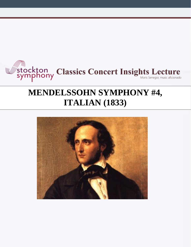

# **MENDELSSOHN SYMPHONY #4, ITALIAN (1833)**

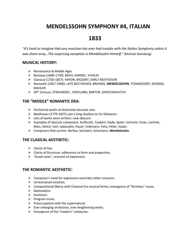# **MENDELSSOHN SYMPHONY #4, ITALIAN**

# **1833**

"*It's hard to imagine that any musician has ever had trouble with the Italian Symphony unless it was sheer envy…The surprising exception is Mendelssohn himself.*" (Michael Steinberg)

# **MUSICAL HISTORY:**

- ➢ Renaissance & Middle Ages
- ➢ Baroque (1600-1750): BACH, HANDEL, VIVALDI
- ➢ Classical (1750-1827): HAYDN, MOZART, EARLY BEETHOVEN
- ➢ Romantic (1827-1900): LATE BEETHOVEN, BRAHMS, **MENDELSSOHN**, TCHAIKOVSKY, DVORAK, MAHLER
- ➢ 20th Century: STRAVINSKY, COPELAND, BARTOK, SHOSTAKOVITCH

# **THE "MIDDLE" ROMANTIC ERA:**

- $\triangleright$  Orchestral works of distinction became rare.
- ➢ Beethoven (1770-1827) cast a long shadow on his followers.
- $\triangleright$  Lots of works were written; now obscure.
- ➢ Examples of obscure composers: Kufferath, Taubert, Gade, Spohr, Verhulst, Esser, Lachner, Rietz, Gleich, Veit, Jadassohn, Pauer, Volkmann, Fetis, Hiller, Huber.
- ➢ Composers that survive: Berlioz, Schubert, Schumann, **Mendelssohn**.

# **THE CLASICAL AESTHETIC:**

- $\triangleright$  Clarity of line.
- ➢ Clarity of Structure: adherence to form and proportion.
- ➢ "Good taste", restraint of expression.

## **THE ROMANTIC AESTHETIC:**

- $\triangleright$  Composer's need for expression overrides other concerns.
- ➢ Unrestrained emotion.
- ➢ Compositional liberty with Classical Era musical forms; emergence of "formless" music.
- ➢ Nationalism.
- ➢ Exoticism.
- ➢ Program music.
- $\triangleright$  Preoccupation with the supernatural.
- $\triangleright$  Ever enlarging orchestras, ever lengthening works.
- $\triangleright$  Emergence of the "modern" conductor.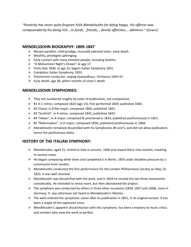"*Posterity has never quite forgiven Felix Mendelssohn for being happy. His offense was compounded by his being rich….in funds, ..friends,….family affection,….admirers.*" (Downs)

# **MENDELSSOHN BIOGRAPHY: 1809-1847**

- ➢ Mozart parallels: child prodigy, musically talented sister, early death.
- $\triangleright$  Wealthy, privileged upbringing.
- $\triangleright$  Early contact with many eminent people, including Goethe.
- ➢ "A Midsummer Night's Dream" at age 17.
- ➢ Visits Italy 1830, at age 22; begins Italian Symphony 1831.
- ➢ Completes Italian Symphony, 1833.
- ➢ Preeminent conductor; Leipzig Gewandhaus Orchestra 1835-47.
- $\triangleright$  Early death, age 38, within months of sister's death

# **MENDELSSOHN SYMPHONIES:**

- $\triangleright$  They are numbered roughly by order of publication, not composition.
- $\triangleright$  #1 in C minor, composed 1824 (age 15), first performed 1829, published 1830.
- $\triangleright$  #2 Choral, in B flat major, composed 1840, published 1841.
- ➢ #3 "Scottish", in A minor, composed 1842, published 1843.
- $\triangleright$  #4 "Italian", in A major, composed & premiered in 1833, published posthumously in 1851.
- $\triangleright$  #5 "Reformation", in D major, composed 1830, published posthumously in 1868.
- $\triangleright$  Mendelssohn remained dissatisfied with his Symphonies #4 and 5, and did not allow publication, hence the posthumous dates.

# **HISTORY OF THE ITALIAN SYMPHONY:**

- $\triangleright$  Mendelssohn, aged 21, visited to Italy in autumn, 1830 and stayed there nine months, traveling to various areas.
- $\triangleright$  He began composing while there and completed it in Berlin, 1833 under deadline pressure by a commission from London.
- $\triangleright$  Mendelssohn conducted the first performance for the London Philharmonic Society on May 13, 1833. It was well received.
- $\triangleright$  Mendelssohn was dissatisfied with the work, and in 1834 he revised the last three movements considerably. He intended to revise more, but then abandoned the project.
- $\triangleright$  The symphony was conducted by others in three other occasions (1834, 1837 and 1838), none in Germany. It was otherwise not heard in Mendelssohn's lifetime.
- $\triangleright$  The work entered the symphonic canon after its publication in 1851, in its original version. It has been a staple of the repertoire since.
- $\triangleright$  Mendelssohn's apparent dissatisfaction with this symphony has been a mystery to music critics and scholars who view the work as perfect.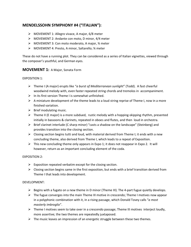# **MENDELSSOHN SYMPHONY #4 ("ITALIAN"):**

- ➢ MOVEMENT 1: Allegro vivace, A major, 6/8 meter
- ➢ MOVEMENT 2: Andante con moto, D minor, 4/4 meter
- ➢ MOVEMENT 3: Con moto moderato, A major, ¾ meter
- ➢ MOVEMENT 4: Presto, A minor, Saltarello; ¾ meter

These do not have a running plot. They can be considered as a series of Italian vignettes, viewed through the composer's youthful, and German eyes.

#### **MOVEMENT 1:** A Major, Sonata Form

#### EXPOSITION 1:

- ➢ Theme I (A major) erupts like "*a burst of Mediterranean sunlight*" (Todd). A fast cheerful woodwind melody with, even faster repeated string chords and tremolos in accompaniment.
- ➢ In its first version Theme I is somewhat unfinished.
- $\triangleright$  A miniature development of the theme leads to a loud string reprise of Theme I, now in a more finished variation.
- $\triangleright$  Brief modulating music.
- $\triangleright$  Theme II (E major) is a more subdued, rustic melody with a hopping-skipping rhythm, presented initially in bassoons & clarinets, repeated in oboes and flutes, and then loud in orchestra.
- $\triangleright$  Brief clarinet interlude (C sharp minor) "casts a shadow on the landscape" (Steinberg) and provides transition into the closing section.
- $\triangleright$  Closing section begins tutti and loud, with material derived from Theme I; it ends with a new concluding theme, also derived from Theme I, which leads to a repeat of Exposition.
- $\triangleright$  This new concluding theme only appears in Expo 1; it does not reappear in Expo 2. It will however, return as an important concluding element of the coda.

#### EXPOSITION 2:

- $\triangleright$  Exposition repeated verbatim except for the closing section.
- $\triangleright$  Closing section begins same in the first exposition, but ends with a brief transition derived from Theme I that leads into development.

#### DEVELOPMENT:

- $\triangleright$  Begins with a fugato on a new theme in D minor (Theme III). The 4-part fugue quietly develops.
- $\triangleright$  The fugue converges into the main Theme III motive in crescendo; Theme I motives now appear in a polyphonic combination with it, in a rising passage, which Donald Tovey calls "*a most masterly imbroglio*".
- $\triangleright$  Theme I motives seem to take over in a crescendo passage; Theme III motives interject loudly, more assertive; the two themes are repeatedly juxtaposed.
- $\triangleright$  The music leaves an impression of an energetic struggle between these two themes.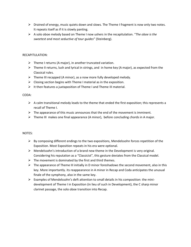- $\triangleright$  Drained of energy, music quiets down and slows. The Theme I fragment is now only two notes. It repeats itself as if it is slowly panting.
- ➢ A solo oboe melody based on Theme I now ushers in the recapitulation. "*The oboe is the sweetest and most seductive of tour guides*" (Steinberg).

#### RECAPITULATION:

- $\triangleright$  Theme I returns (A major), in another truncated variation.
- $\triangleright$  Theme II returns, lush and lyrical in strings, and in home key (A major), as expected from the Classical rules.
- $\triangleright$  Theme III recapped (A minor), as a now more fully developed melody.
- $\triangleright$  Closing section begins with Theme I material as in the exposition.
- $\triangleright$  It then features a juxtaposition of Theme I and Theme III material.

#### CODA:

- $\triangleright$  A calm transitional melody leads to the theme that ended the first exposition; this represents a recall of Theme I.
- $\triangleright$  The appearance of this music announces that the end of the movement is imminent.
- $\triangleright$  Theme III makes one final appearance (A minor), before concluding chords in A major.

- $\triangleright$  By composing different endings to the two expositions, Mendelssohn forces repetition of the Exposition. Most Exposition repeats in his era were optional.
- $\triangleright$  Mendelssohn's introduction of a brand new theme in the Development is very original. Considering his reputation as a "Classicist", this gesture deviates from the Classical model.
- $\triangleright$  The movement is dominated by the first and third themes.
- $\triangleright$  The appearance of Theme III initially in D minor foreshadows the second movement, also in this key. More importantly. its reappearance in A minor in Recap and Coda anticipates the unusual finale of the symphony, also in the same key.
- $\triangleright$  Examples of Mendelssohn's deft attention to small details in his composition: the minidevelopment of Theme I in Exposition (in lieu of such in Development), the C sharp minor clarinet passage, the solo oboe transition into Recap.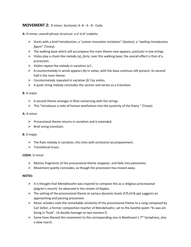### **MOVEMENT 2:** D minor, Sectional, A- B - A - B - Coda

**A**: D minor; overall phrase structure: a-a'-b-b'-codetta

- ➢ Starts with a brief introduction, a "*unison invocative recitation*" (Seaton), a "*wailing introductory figure*" (Tovey).
- $\triangleright$  The walking base which will accompany the main theme now appears, pizzicato in low strings.
- ➢ Violas play a chant-like melody (a), *forte*, over this walking base; the overall effect is that of a procession.
- $\triangleright$  Violins repeat the melody in variation (a').
- $\triangleright$  A countermelody in winds appears (b) in violas, with the baso continuo still present; its second half is the main theme.
- $\triangleright$  Countermelody repeated in variation (b') by violins.
- $\triangleright$  A quiet string melody concludes the section and serves as a transition.

#### **B**: A major

- $\triangleright$  A second theme emerges in flute conversing with the strings.
- $\triangleright$  This "introduces a note of human wistfulness into the austerity of the litany." (Tovey)

#### **A**: A minor

- $\triangleright$  Processional theme returns in variation and is extended.
- $\triangleright$  Brief string transition.

#### **B**: D major

- $\triangleright$  The flute melody in variation, this time with orchestral accompaniment.
- $\triangleright$  Transitional music.

#### **CODA**: D minor

- ➢ Motivic fragments of the processional theme reappear, and fade into *pianissimo.*
- $\triangleright$  Movement quietly concludes, as though the procession has moved away.

- $\triangleright$  It is thought that Mendelssohn was inspired to compose this as a religious processional (pilgrim's march) he observed in the streets of Naples.
- $\triangleright$  The setting of the processional theme at various dynamic levels (f, ff, mf & pp) suggests an approaching and passing procession.
- $\triangleright$  Music scholars note the remarkable similarity of the processional theme to a song composed by Carl Zelter, a former composition teacher of Mendelssohn, set to the Goethe poem "Es was ein Konig in Thule". (A double homage to two mentors?)
- $\triangleright$  Some have likened this movement to the corresponding one in Beethoven's 7<sup>th</sup> Symphony, also a slow march.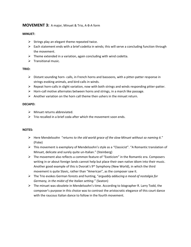# **MOVEMENT 3:** A major, Minuet & Trio, A-B-A form

#### **MINUET:**

- $\triangleright$  Strings play an elegant theme repeated twice.
- $\triangleright$  Each statement ends with a brief codetta in winds; this will serve a concluding function through the movement.
- $\triangleright$  Theme extended in a variation, again concluding with wind codetta.
- $\triangleright$  Transitional music.

#### **TRIO:**

- ➢ Distant sounding horn- calls, in French horns and bassoons, with a pitter-patter response in strings evoking animals, and bird-calls in winds.
- $\triangleright$  Repeat horn-calls in slight variation, now with both strings and winds responding pitter-patter.
- $\triangleright$  Horn-call motive alternates between horns and strings, in a march like passage.
- $\triangleright$  Another variation on the horn call theme then ushers in the minuet return.

#### **DECAPO:**

- $\triangleright$  Minuet returns abbreviated.
- $\triangleright$  Trio recalled in a brief coda after which the movement soon ends.

- ➢ Here Mendelssohn "*returns to the old world grace of the slow Minuet without so naming it.*" (Fiske)
- ➢ This movement is exemplary of Mendelssohn's style as a "Classicist". "A Romantic translation of Minuet, delicate and surely quite un-Italian." (Steinberg)
- $\triangleright$  The movement also reflects a common feature of "Exoticism" in the Romantic era. Composers writing in or about foreign lands cannot help but place their own native idiom into their music. Another good example of this is Dvorak's  $9<sup>th</sup>$  Symphony (New World), in which the third movement is quite Slavic, rather than "American", as the composer saw it.
- ➢ The Trio evokes German forests and hunting, "*arguably adducing a mood of nostalgia for Germany, in the midst of the Italian setting.*" (Seaton)
- $\triangleright$  The minuet was obsolete in Mendelssohn's time. According to biographer R. Larry Todd, the composer's purpose in this choice was to contrast the aristocratic elegance of this court dance with the raucous Italian dance to follow in the fourth movement.